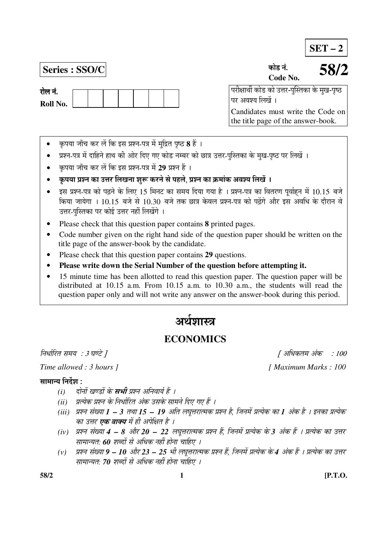**SET – 2**

**Series : SSO/C** úÖê›ü −ÖÓ. **Code No.** 

**58/2**

 ¯Ö¸üßÖÖ£Öá úÖê›ü úÖê ˆ¢Ö¸ü-¯ÖãÛßÖúÖ êú ´Öã Ö-¯Öéšü पर अवश्य लिखें ।

Candidates must write the Code on the title page of the answer-book.

- कृपया जाँच कर लें कि इस प्रश्न-पत्र में मुद्रित पृष्ठ **8** हैं ।
- प्रश्न-पत्र में दाहिने हाथ की ओर दिए गए कोड नम्बर को छात्र उत्तर-पस्तिका के मख-पृष्ठ पर लिखें ।
- कपया जाँच कर लें कि इस प्रश्न-पत्र में 29 प्रश्न हैं ।
- कृपया प्रश्न का उत्तर लिखना शुरू करने से पहले, प्रश्न का क्रमांक अवश्य लिखें ।
- इस प्रश्न-पत्र को पढ़ने के लिए 15 मिनट का समय दिया गया है । प्रश्न-पत्र का वितरण पूर्वाहन में 10.15 बजे किया जायेगा । 10.15 बजे से 10.30 बजे तक छात्र केवल प्रश्न-पत्र को पढ़ेंगे और इस अवधि के दौरान वे उत्तर-पुस्तिका पर कोई उत्तर नहीं लिखेंगे ।
- Please check that this question paper contains **8** printed pages.
- Code number given on the right hand side of the question paper should be written on the title page of the answer-book by the candidate.
- Please check that this question paper contains **29** questions.
- **Please write down the Serial Number of the question before attempting it.**
- 15 minute time has been allotted to read this question paper. The question paper will be distributed at 10.15 a.m. From 10.15 a.m. to 10.30 a.m., the students will read the question paper only and will not write any answer on the answer-book during this period.

# अर्थशास्त्र

# **ECONOMICS**

## ×®Ö¬ÖÖÔ׸üŸÖ ÃÖ´ÖµÖ : 3 'ÖÞ™êü ] [ †×¬ÖÛúŸÖ´Ö †ÓÛú : 100

## सामान्य निर्देश $\,$  :

- *(i) दोनों खण्डों के सभी प्रश्न अनिवार्य हैं ।*
- *(ii) प्रत्येक प्रश्न के निर्धारित अंक उसके सामने दिए गए हैं ।*
- *(iii) प्रश्न संख्या 1 3 तथा 15 19 अति लघूत्तरात्मक प्रश्न है, जिनमें प्रत्येक का 1 अंक है । इनका प्रत्येक* का उत्तर **एक वाक्य** में ही अपेक्षित है ।
- *(iv) प्रश्न संख्या 4 8 और 20 22 लघूत्तरात्मक प्रश्न हैं, जिनमें प्रत्येक के 3 अंक हैं । प्रत्येक का उत्तर* सामान्यत: 60 शब्दों से अधिक नहीं होना चाहिए ।
- (v) प्रश्न संख्या 9 10 और 23 25 भी लघुत्तरात्मक प्रश्न हैं, जिनमें प्रत्येक के 4 अंक हैं । प्रत्येक का उत्तर सामान्यत: **70** शब्दों से अधिक नहीं होना चाहिए ।

*Time allowed : 3 hours ]* [ *Maximum Marks : 100* 

**58/2 1 [P.T.O.**

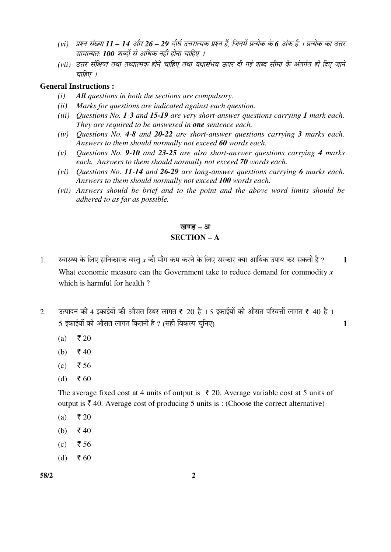- (vi) प्रश्न संख्या 11 14 और 26 29 दीर्घ उत्तरात्मक प्रश्न हैं, जिनमें प्रत्येक के 6 अंक हैं । प्रत्येक का उत्तर सामान्यत: **100** शब्दों से अधिक नहीं होना चाहिए ।
- (vii) उत्तर संक्षिप्त तथा तथ्यात्मक होने चाहिए तथा यथासंभव ऊपर दी गई शब्द सीमा के अंतर्गत ही दिए जाने चाहिए ।

#### **General Instructions :**

- *(i) All questions in both the sections are compulsory.*
- *(ii) Marks for questions are indicated against each question.*
- *(iii) Questions No. 1-3 and 15-19 are very short-answer questions carrying 1 mark each. They are required to be answered in one sentence each.*
- *(iv) Questions No. 4-8 and 20-22 are short-answer questions carrying 3 marks each. Answers to them should normally not exceed 60 words each.*
- *(v) Questions No. 9-10 and 23-25 are also short-answer questions carrying 4 marks each. Answers to them should normally not exceed 70 words each.*
- *(vi) Questions No. 11-14 and 26-29 are long-answer questions carrying 6 marks each. Answers to them should normally not exceed 100 words each.*
- *(vii) Answers should be brief and to the point and the above word limits should be adhered to as far as possible.*

## खण्ड – अ **SECTION – A**

- 1. स्वास्थ्य के लिए हानिकारक वस्तु  $x$  की माँग कम करने के लिए सरकार क्या आर्थिक उपाय कर सकती है ? 1 What economic measure can the Government take to reduce demand for commodity *x* which is harmful for health ?
- 2.  $\,$ उत्पादन की 4 इकाईयों की औसत स्थिर लागत ₹ 20 है । 5 इकाईयों की औसत परिवर्त्ती लागत ₹ 40 है । 5 ‡ÛúÖ‡ÔµÖÖë Ûúß †ÖîÃÖŸÖ »ÖÖÝÖŸÖ ×ÛúŸÖ®Öß Æîü ? (ÃÖÆüß ×¾ÖÛú»¯Ö "Öã×®Ö‹) **1**
	- (a) ₹ 20
	- (b)  $\bar{z}$  40
	- (c) ₹ 56
	- (d) ₹ 60

The average fixed cost at 4 units of output is  $\bar{\tau}$  20. Average variable cost at 5 units of output is  $\bar{\tau}$  40. Average cost of producing 5 units is : (Choose the correct alternative)

- $(a)$  ₹ 20
- (b)  $\bar{z}$  40
- $(c)$  ₹ 56
- (d) ₹ 60

**58/2 2**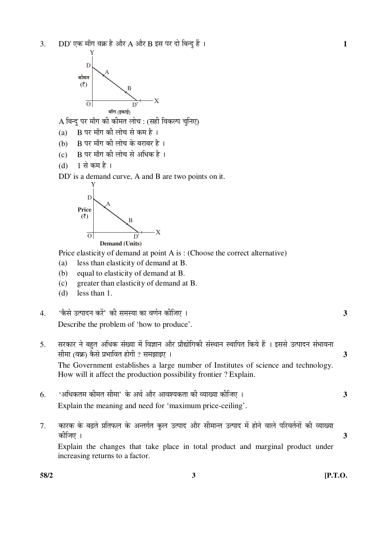

 $A$  बिन्दु पर माँग की कीमत लोच : (सही विकल्प चुनिए)

- (a)  $B$  पर माँग की लोच से कम है ।
- (b) B पर माँग की लोच के बराबर है।
- $(c)$  B पर माँग की लोच से अधिक है।
- $(d)$  1 से कम है ।

DD' is a demand curve, A and B are two points on it.



Price elasticity of demand at point A is : (Choose the correct alternative)

- (a) less than elasticity of demand at B.
- (b) equal to elasticity of demand at B.
- (c) greater than elasticity of demand at B.
- (d) less than 1.

4. 'ÛîúÃÖê ˆŸ¯ÖÖ¤ü®Ö Ûú¸ëü' Ûúß ÃÖ´ÖõÖÖ ÛúÖ ¾ÖÞÖÔ®Ö Ûúßו֋ … **3**  Describe the problem of 'how to produce'.

- 5. सरकार ने बहुत अधिक संख्या में विज्ञान और प्रौद्योगिकी संस्थान स्थापित किये हैं । इससे उत्पादन संभावना ÃÖß´ÖÖ (¾ÖÛÎú) ÛîúÃÖê ¯ÖϳÖÖ×¾ÖŸÖ ÆüÖêÝÖß ? ÃÖ´Ö—ÖÖ‡‹ … **3** The Government establishes a large number of Institutes of science and technology. How will it affect the production possibility frontier ? Explain. 6. '†×¬ÖÛúŸÖ´Ö Ûúß´ÖŸÖ ÃÖß´ÖÖ' Ûêú †£ÖÔ †Öî¸ü †Ö¾Ö¿µÖÛúŸÖÖ Ûúß ¾µÖÖܵÖÖ Ûúßו֋ … **3** 
	- Explain the meaning and need for 'maximum price-ceiling'.
- 7. कारक के बढ़ते प्रतिफल के अन्तर्गत कुल उत्पाद और सीमान्त उत्पाद में होने वाले परिवर्तनों की व्याख्या Ûúßו֋ … **3**  Explain the changes that take place in total product and marginal product under increasing returns to a factor.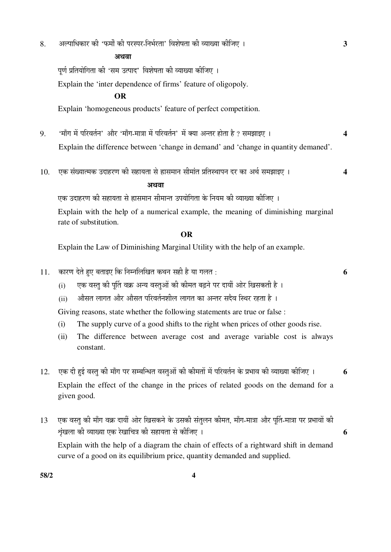8. अल्पाधिकार की 'फर्मों की परस्पर-निर्भरता' विशेषता की व्याख्या कीजिए । **3** 

 $\overline{a}$ 

पूर्ण प्रतियोगिता की 'सम उत्पाद' विशेषता की व्याख्या कीजिए ।

Explain the 'inter dependence of firms' feature of oligopoly.

## **OR**

Explain 'homogeneous products' feature of perfect competition.

- 9. 'माँग में परिवर्तन' और 'माँग-मात्रा में परिवर्तन' में क्या अन्तर होता है ? समझाइए । 4 Explain the difference between 'change in demand' and 'change in quantity demaned'.
- 10. एक संख्यात्मक उदाहरण की सहायता से ह्रासमान सीमांत प्रतिस्थापन दर का अर्थ समझाइए । 4

## †£Ö¾ÖÖ

एक उदाहरण की सहायता से ह्रासमान सीमान्त उपयोगिता के नियम की व्याख्या कीजिए ।

 Explain with the help of a numerical example, the meaning of diminishing marginal rate of substitution.

#### **OR**

Explain the Law of Diminishing Marginal Utility with the help of an example.

- 11. ÛúÖ¸üÞÖ ¤êüŸÖê Æãü‹ ²ÖŸÖÖ‡‹ ×Ûú ×®Ö´®Ö×»Ö×ÜÖŸÖ Ûú£Ö®Ö ÃÖÆüß Æîü µÖÖ ÝÖ»ÖŸÖ : **6**
	- (i) एक वस्तु की पुर्ति वक्र अन्य वस्तुओं की कीमत बढ़ने पर दायीं ओर खिसकती है ।
	- (ii) औसत लागत और औसत परिवर्तनशील लागत का अन्तर सदैव स्थिर रहता है ।

Giving reasons, state whether the following statements are true or false :

- (i) The supply curve of a good shifts to the right when prices of other goods rise.
- (ii) The difference between average cost and average variable cost is always constant.
- 12. एक दी हई वस्तु की माँग पर सम्बन्धित वस्तुओं की कीमतों में परिवर्तन के प्रभाव की व्याख्या कीजिए । 6 Explain the effect of the change in the prices of related goods on the demand for a given good.
- 13 एक वस्तु की माँग वक्र दायीं ओर खिसकने के उसकी संतुलन कीमत, माँग-मात्रा और पूर्ति-मात्रा पर प्रभावों की  $\frac{1}{2}$ ष्ठी व्याख्या एक रेखाचित्र की सहायता से कीजिए ।

 Explain with the help of a diagram the chain of effects of a rightward shift in demand curve of a good on its equilibrium price, quantity demanded and supplied.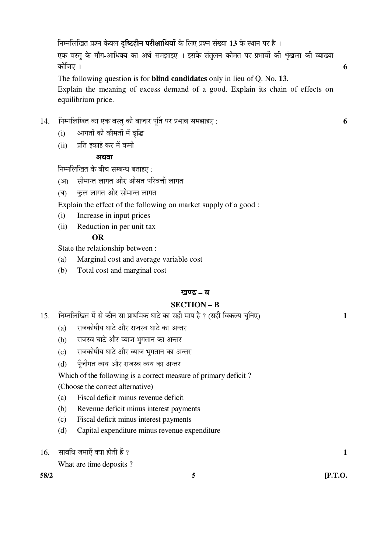एक वस्तु के माँग-आधिक्य का अर्थ समझाइए । इसके संतुलन कीमत पर प्रभावों की शृंखला की व्याख्या Ûúßו֋ … **6** 

 The following question is for **blind candidates** only in lieu of Q. No. **13**. Explain the meaning of excess demand of a good. Explain its chain of effects on equilibrium price.

- $14.$  निम्नलिखित का एक वस्तु की बाजार पर्ति पर प्रभाव समझाइए :  $\qquad \qquad \textbf{6}$ 
	- (i) आगतों की कीमतों में वृद्धि
	- (ii) प्रति इकाई कर में कमी

#### 3 स्थि**ता**

निम्नलिखित के बीच सम्बन्ध बताइए $\,$  :

- (आ) सीमान्त लागत और औसत परिवर्त्ती लागत
- (ब) कल लागत और सीमान्त लागत
- Explain the effect of the following on market supply of a good :
- (i) Increase in input prices
- (ii) Reduction in per unit tax

## **OR**

State the relationship between :

- (a) Marginal cost and average variable cost
- (b) Total cost and marginal cost

### खण्ड – ब

## **SECTION – B**

- 15. निम्नलिखित में से कौन सा प्राथमिक घाटे का सही माप है ? (सही विकल्प चुनिए) 1
	- $(a)$  राजकोषीय घाटे और राजस्व घाटे का अन्तर
	- $(b)$  राजस्व घाटे और ब्याज भुगतान का अन्तर
	- $(c)$  राजकोषीय घाटे और ब्याज भगतान का अन्तर
	- (d) पूँजीगत व्यय और राजस्व व्यय का अन्तर

Which of the following is a correct measure of primary deficit ?

- (Choose the correct alternative)
- (a) Fiscal deficit minus revenue deficit
- (b) Revenue deficit minus interest payments
- (c) Fiscal deficit minus interest payments
- (d) Capital expenditure minus revenue expenditure
- $16.$  सावधि जमाएँ क्या होती हैं ?  $1$

What are time deposits ?

**58/2 5 [P.T.O.**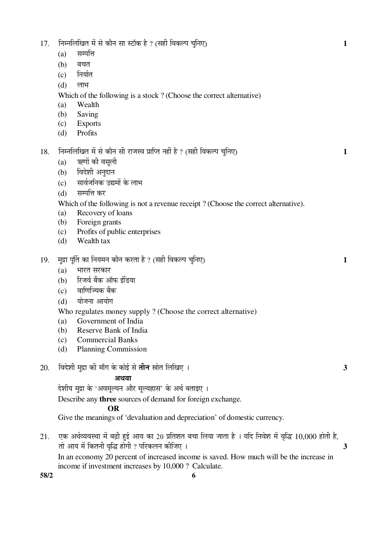|     | (a)                                                               | सम्पत्ति                                                                                              |              |  |  |  |
|-----|-------------------------------------------------------------------|-------------------------------------------------------------------------------------------------------|--------------|--|--|--|
|     | (b)                                                               | बचत                                                                                                   |              |  |  |  |
|     | (c)                                                               | निर्यात                                                                                               |              |  |  |  |
|     | (d)                                                               | लाभ                                                                                                   |              |  |  |  |
|     |                                                                   | Which of the following is a stock? (Choose the correct alternative)                                   |              |  |  |  |
|     | (a)                                                               | Wealth                                                                                                |              |  |  |  |
|     | (b)                                                               | Saving                                                                                                |              |  |  |  |
|     | (c)                                                               | <b>Exports</b>                                                                                        |              |  |  |  |
|     | (d)                                                               | Profits                                                                                               |              |  |  |  |
| 18. |                                                                   | निम्नलिखित में से कौन सी राजस्व प्राप्ति नहीं है ? (सही विकल्प चुनिए)                                 | $\mathbf{1}$ |  |  |  |
|     | (a)                                                               | ऋणों की वसूली                                                                                         |              |  |  |  |
|     | (b)                                                               | विदेशी अनुदान                                                                                         |              |  |  |  |
|     | (c)                                                               | सार्वजनिक उद्यमों के लाभ                                                                              |              |  |  |  |
|     | (d)                                                               | सम्पत्ति कर                                                                                           |              |  |  |  |
|     |                                                                   | Which of the following is not a revenue receipt? (Choose the correct alternative).                    |              |  |  |  |
|     | (a)                                                               | Recovery of loans                                                                                     |              |  |  |  |
|     | (b)                                                               | Foreign grants                                                                                        |              |  |  |  |
|     | (c)                                                               | Profits of public enterprises                                                                         |              |  |  |  |
|     | (d)                                                               | Wealth tax                                                                                            |              |  |  |  |
| 19. | मुद्रा पूर्ति का नियमन कौन करता है ? (सही विकल्प चुनिए)<br>1      |                                                                                                       |              |  |  |  |
|     | (a)                                                               | भारत सरकार                                                                                            |              |  |  |  |
|     | (b)                                                               | रिजर्व बैंक ऑफ इंडिया                                                                                 |              |  |  |  |
|     | (c)                                                               | वाणिज्यिक बैंक                                                                                        |              |  |  |  |
|     | (d)                                                               | योजना आयोग                                                                                            |              |  |  |  |
|     |                                                                   | Who regulates money supply? (Choose the correct alternative)                                          |              |  |  |  |
|     | (a)                                                               | Government of India                                                                                   |              |  |  |  |
|     | (b)                                                               | Reserve Bank of India                                                                                 |              |  |  |  |
|     | (c)                                                               | <b>Commercial Banks</b>                                                                               |              |  |  |  |
|     | (d)                                                               | <b>Planning Commission</b>                                                                            |              |  |  |  |
| 20. |                                                                   | विदेशी मुद्रा की माँग के कोई से <b>तीन</b> स्रोत लिखिए ।                                              | 3            |  |  |  |
|     |                                                                   | अथवा                                                                                                  |              |  |  |  |
|     |                                                                   | देशीय मुद्रा के 'अवमूल्यन और मूल्यह्रास' के अर्थ बताइए ।                                              |              |  |  |  |
|     | Describe any <b>three</b> sources of demand for foreign exchange. |                                                                                                       |              |  |  |  |
|     |                                                                   | <b>OR</b>                                                                                             |              |  |  |  |
|     |                                                                   | Give the meanings of 'devaluation and depreciation' of domestic currency.                             |              |  |  |  |
| 21. |                                                                   | एक अर्थव्यवस्था में बढ़ी हुई आय का 20 प्रतिशत बचा लिया जाता है । यदि निवेश में वृद्धि 10,000 होती है, |              |  |  |  |

17. ×®Ö´®Ö×»Ö×ÜÖŸÖ ´Öë ÃÖê ÛúÖî®Ö ÃÖÖ Ã™üÖòÛú Æîü ? (ÃÖÆüß ×¾ÖÛú»¯Ö "Öã×®Ö‹) **1**

ŸÖÖê †ÖµÖ ´Öë ×ÛúŸÖ®Öß ¾Öéרü ÆüÖêÝÖß ? ¯Ö׸üÛú»Ö®Ö Ûúßו֋ … **3** In an economy 20 percent of increased income is saved. How much will be the increase in income if investment increases by 10,000 ? Calculate.

**58/2 6**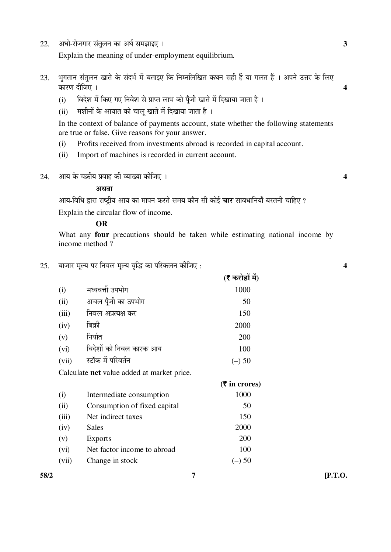22. †¬ÖÖê-¸üÖê•ÖÝÖÖ¸ü ÃÖÓŸÖã»Ö®Ö ÛúÖ †£ÖÔ ÃÖ´Ö—ÖÖ‡‹ … **3** 

Explain the meaning of under-employment equilibrium.

- 23. भुगतान संतुलन खाते के संदर्भ में बताइए कि निम्नलिखित कथन सही हैं या गलत हैं । अपने उत्तर के लिए ÛúÖ¸üÞÖ ¤üßו֋ … **4**
	- (i) विदेश में किए गए निवेश से प्राप्त लाभ को पूँजी खाते में दिखाया जाता है ।
	- $(iii)$  मशीनों के आयात को चालू खाते में दिखाया जाता है।

In the context of balance of payments account, state whether the following statements are true or false. Give reasons for your answer.

- (i) Profits received from investments abroad is recorded in capital account.
- (ii) Import of machines is recorded in current account.
- $24.$   $\hspace{1.5cm}$  आय के चक्रीय प्रवाह की व्याख्या कीजिए ।  $\hspace{1.5cm}$

#### अथवा

आय-विधि द्वारा राष्ट्रीय आय का मापन करते समय कौन सी कोई **चार** सावधानियाँ बरतनी चाहिए ?

Explain the circular flow of income.

#### **OR**

 What any **four** precautions should be taken while estimating national income by income method ?

25. ²ÖÖ•ÖÖ¸ü ´Öæ»µÖ ¯Ö¸ü ×®Ö¾Ö»Ö ´Öæ»µÖ ¾Öéרü ÛúÖ ¯Ö׸üÛú»Ö®Ö Ûúßו֋ : **4** 

|                                                   |                              | (₹ करोड़ों में) |  |  |
|---------------------------------------------------|------------------------------|-----------------|--|--|
| (i)                                               | मध्यवर्त्ती उपभोग            | 1000            |  |  |
| (ii)                                              | अचल पूँजी का उपभोग           | 50              |  |  |
| (iii)                                             | निवल अप्रत्यक्ष कर           | 150             |  |  |
| (iv)                                              | बिक्री                       | 2000            |  |  |
| (v)                                               | निर्यात                      | 200             |  |  |
| (vi)                                              | विदेशों को निवल कारक आय      | 100             |  |  |
| (vii)                                             | स्टॉक में परिवर्तन           | $(-)$ 50        |  |  |
| Calculate <b>net</b> value added at market price. |                              |                 |  |  |
|                                                   |                              | $(5$ in crores) |  |  |
| (i)                                               | Intermediate consumption     | 1000            |  |  |
| (ii)                                              | Consumption of fixed capital | 50              |  |  |
| (iii)                                             | Net indirect taxes           | 150             |  |  |
| (iv)                                              |                              |                 |  |  |
|                                                   | Sales                        | 2000            |  |  |
| (v)                                               | <b>Exports</b>               | 200             |  |  |
| (vi)                                              | Net factor income to abroad  | 100             |  |  |

**58/2 7 [P.T.O.**